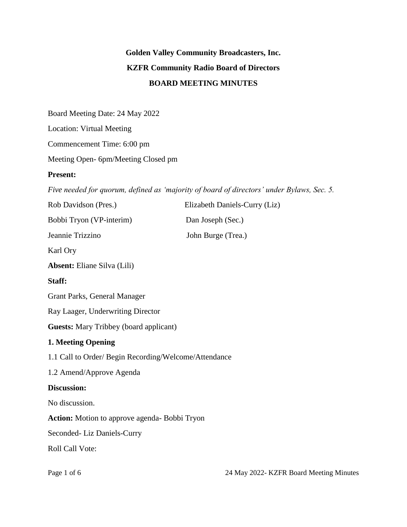# **Golden Valley Community Broadcasters, Inc. KZFR Community Radio Board of Directors BOARD MEETING MINUTES**

Board Meeting Date: 24 May 2022

Location: Virtual Meeting

Commencement Time: 6:00 pm

Meeting Open- 6pm/Meeting Closed pm

#### **Present:**

*Five needed for quorum, defined as 'majority of board of directors' under Bylaws, Sec. 5.*

| Rob Davidson (Pres.)                                  | Elizabeth Daniels-Curry (Liz) |
|-------------------------------------------------------|-------------------------------|
| Bobbi Tryon (VP-interim)                              | Dan Joseph (Sec.)             |
| Jeannie Trizzino                                      | John Burge (Trea.)            |
| Karl Ory                                              |                               |
| <b>Absent:</b> Eliane Silva (Lili)                    |                               |
| Staff:                                                |                               |
| <b>Grant Parks, General Manager</b>                   |                               |
| Ray Laager, Underwriting Director                     |                               |
| <b>Guests:</b> Mary Tribbey (board applicant)         |                               |
| 1. Meeting Opening                                    |                               |
| 1.1 Call to Order/ Begin Recording/Welcome/Attendance |                               |
| 1.2 Amend/Approve Agenda                              |                               |
| Discussion:                                           |                               |
| No discussion.                                        |                               |
| Action: Motion to approve agenda- Bobbi Tryon         |                               |
| Seconded-Liz Daniels-Curry                            |                               |
| Roll Call Vote:                                       |                               |
|                                                       |                               |

Page 1 of 6 24 May 2022- KZFR Board Meeting Minutes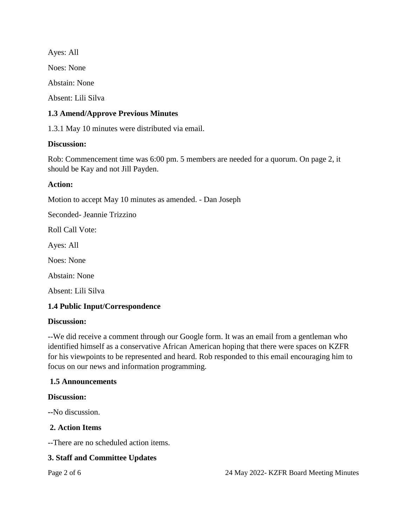Ayes: All Noes: None Abstain: None Absent: Lili Silva

## **1.3 Amend/Approve Previous Minutes**

1.3.1 May 10 minutes were distributed via email.

## **Discussion:**

Rob: Commencement time was 6:00 pm. 5 members are needed for a quorum. On page 2, it should be Kay and not Jill Payden.

#### **Action:**

Motion to accept May 10 minutes as amended. - Dan Joseph

Seconded- Jeannie Trizzino

Roll Call Vote:

Ayes: All

Noes: None

Abstain: None

Absent: Lili Silva

## **1.4 Public Input/Correspondence**

#### **Discussion:**

--We did receive a comment through our Google form. It was an email from a gentleman who identified himself as a conservative African American hoping that there were spaces on KZFR for his viewpoints to be represented and heard. Rob responded to this email encouraging him to focus on our news and information programming.

#### **1.5 Announcements**

#### **Discussion:**

**--**No discussion.

#### **2. Action Items**

--There are no scheduled action items.

#### **3. Staff and Committee Updates**

Page 2 of 6 24 May 2022- KZFR Board Meeting Minutes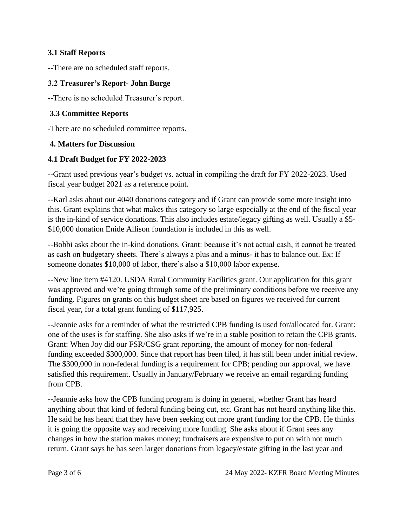## **3.1 Staff Reports**

**--**There are no scheduled staff reports.

## **3.2 Treasurer's Report- John Burge**

--There is no scheduled Treasurer's report.

## **3.3 Committee Reports**

-There are no scheduled committee reports.

## **4. Matters for Discussion**

## **4.1 Draft Budget for FY 2022-2023**

**--**Grant used previous year's budget vs. actual in compiling the draft for FY 2022-2023. Used fiscal year budget 2021 as a reference point.

--Karl asks about our 4040 donations category and if Grant can provide some more insight into this. Grant explains that what makes this category so large especially at the end of the fiscal year is the in-kind of service donations. This also includes estate/legacy gifting as well. Usually a \$5- \$10,000 donation Enide Allison foundation is included in this as well.

--Bobbi asks about the in-kind donations. Grant: because it's not actual cash, it cannot be treated as cash on budgetary sheets. There's always a plus and a minus- it has to balance out. Ex: If someone donates \$10,000 of labor, there's also a \$10,000 labor expense.

--New line item #4120. USDA Rural Community Facilities grant. Our application for this grant was approved and we're going through some of the preliminary conditions before we receive any funding. Figures on grants on this budget sheet are based on figures we received for current fiscal year, for a total grant funding of \$117,925.

--Jeannie asks for a reminder of what the restricted CPB funding is used for/allocated for. Grant: one of the uses is for staffing. She also asks if we're in a stable position to retain the CPB grants. Grant: When Joy did our FSR/CSG grant reporting, the amount of money for non-federal funding exceeded \$300,000. Since that report has been filed, it has still been under initial review. The \$300,000 in non-federal funding is a requirement for CPB; pending our approval, we have satisfied this requirement. Usually in January/February we receive an email regarding funding from CPB.

--Jeannie asks how the CPB funding program is doing in general, whether Grant has heard anything about that kind of federal funding being cut, etc. Grant has not heard anything like this. He said he has heard that they have been seeking out more grant funding for the CPB. He thinks it is going the opposite way and receiving more funding. She asks about if Grant sees any changes in how the station makes money; fundraisers are expensive to put on with not much return. Grant says he has seen larger donations from legacy/estate gifting in the last year and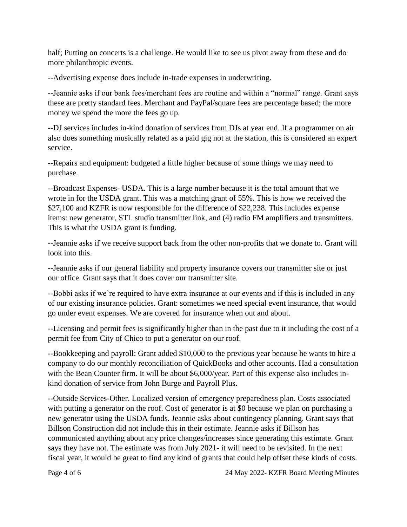half; Putting on concerts is a challenge. He would like to see us pivot away from these and do more philanthropic events.

--Advertising expense does include in-trade expenses in underwriting.

--Jeannie asks if our bank fees/merchant fees are routine and within a "normal" range. Grant says these are pretty standard fees. Merchant and PayPal/square fees are percentage based; the more money we spend the more the fees go up.

--DJ services includes in-kind donation of services from DJs at year end. If a programmer on air also does something musically related as a paid gig not at the station, this is considered an expert service.

--Repairs and equipment: budgeted a little higher because of some things we may need to purchase.

--Broadcast Expenses- USDA. This is a large number because it is the total amount that we wrote in for the USDA grant. This was a matching grant of 55%. This is how we received the \$27,100 and KZFR is now responsible for the difference of \$22,238. This includes expense items: new generator, STL studio transmitter link, and (4) radio FM amplifiers and transmitters. This is what the USDA grant is funding.

--Jeannie asks if we receive support back from the other non-profits that we donate to. Grant will look into this.

--Jeannie asks if our general liability and property insurance covers our transmitter site or just our office. Grant says that it does cover our transmitter site.

--Bobbi asks if we're required to have extra insurance at our events and if this is included in any of our existing insurance policies. Grant: sometimes we need special event insurance, that would go under event expenses. We are covered for insurance when out and about.

--Licensing and permit fees is significantly higher than in the past due to it including the cost of a permit fee from City of Chico to put a generator on our roof.

--Bookkeeping and payroll: Grant added \$10,000 to the previous year because he wants to hire a company to do our monthly reconciliation of QuickBooks and other accounts. Had a consultation with the Bean Counter firm. It will be about \$6,000/year. Part of this expense also includes inkind donation of service from John Burge and Payroll Plus.

--Outside Services-Other. Localized version of emergency preparedness plan. Costs associated with putting a generator on the roof. Cost of generator is at \$0 because we plan on purchasing a new generator using the USDA funds. Jeannie asks about contingency planning. Grant says that Billson Construction did not include this in their estimate. Jeannie asks if Billson has communicated anything about any price changes/increases since generating this estimate. Grant says they have not. The estimate was from July 2021- it will need to be revisited. In the next fiscal year, it would be great to find any kind of grants that could help offset these kinds of costs.

Page 4 of 6 24 May 2022- KZFR Board Meeting Minutes